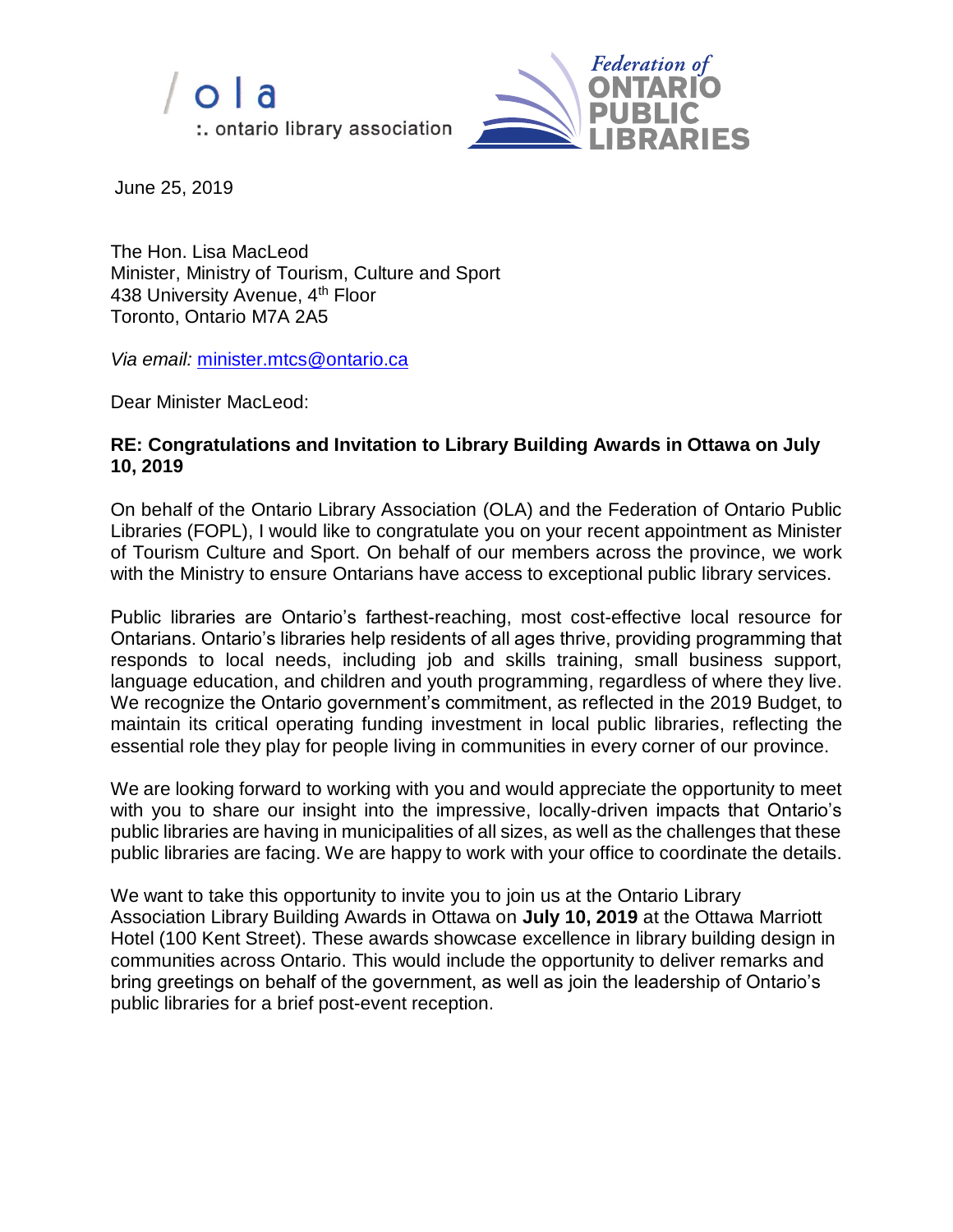



June 25, 2019

The Hon. Lisa MacLeod Minister, Ministry of Tourism, Culture and Sport 438 University Avenue, 4<sup>th</sup> Floor Toronto, Ontario M7A 2A5

*Via email:* [minister.mtcs@ontario.ca](mailto:minister.mtcs@ontario.ca)

Dear Minister MacLeod:

## **RE: Congratulations and Invitation to Library Building Awards in Ottawa on July 10, 2019**

On behalf of the Ontario Library Association (OLA) and the Federation of Ontario Public Libraries (FOPL), I would like to congratulate you on your recent appointment as Minister of Tourism Culture and Sport. On behalf of our members across the province, we work with the Ministry to ensure Ontarians have access to exceptional public library services.

Public libraries are Ontario's farthest-reaching, most cost-effective local resource for Ontarians. Ontario's libraries help residents of all ages thrive, providing programming that responds to local needs, including job and skills training, small business support, language education, and children and youth programming, regardless of where they live. We recognize the Ontario government's commitment, as reflected in the 2019 Budget, to maintain its critical operating funding investment in local public libraries, reflecting the essential role they play for people living in communities in every corner of our province.

We are looking forward to working with you and would appreciate the opportunity to meet with you to share our insight into the impressive, locally-driven impacts that Ontario's public libraries are having in municipalities of all sizes, as well as the challenges that these public libraries are facing. We are happy to work with your office to coordinate the details.

We want to take this opportunity to invite you to join us at the Ontario Library Association Library Building Awards in Ottawa on **July 10, 2019** at the Ottawa Marriott Hotel (100 Kent Street). These awards showcase excellence in library building design in communities across Ontario. This would include the opportunity to deliver remarks and bring greetings on behalf of the government, as well as join the leadership of Ontario's public libraries for a brief post-event reception.